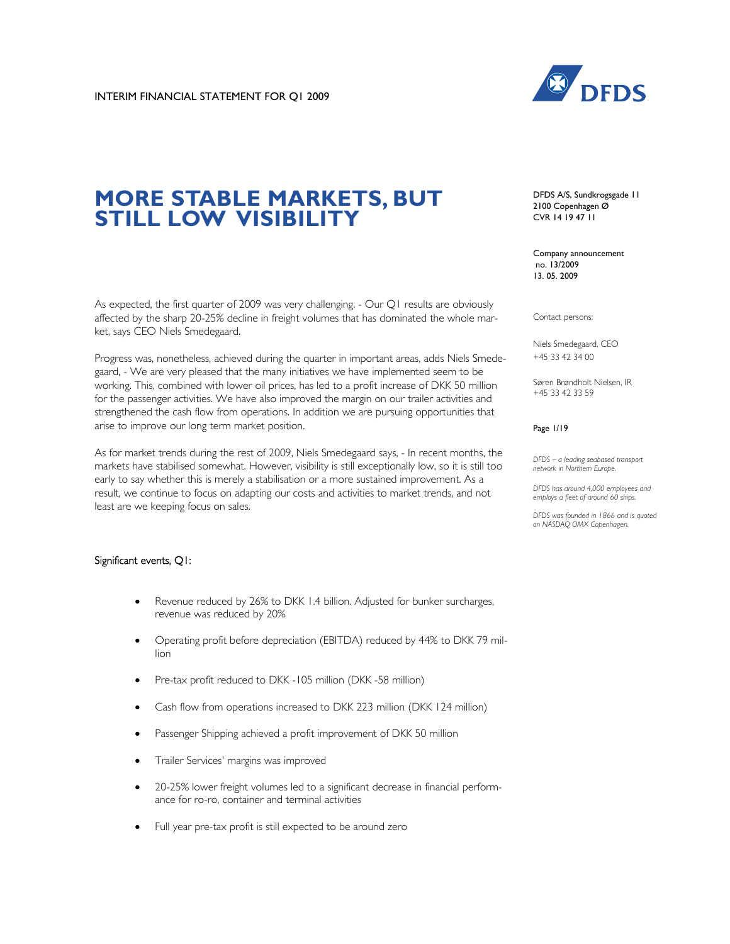

# **MORE STABLE MARKETS, BUT STILL LOW VISIBILITY**

As expected, the first quarter of 2009 was very challenging. - Our Q1 results are obviously affected by the sharp 20-25% decline in freight volumes that has dominated the whole market, says CEO Niels Smedegaard.

Progress was, nonetheless, achieved during the quarter in important areas, adds Niels Smedegaard, - We are very pleased that the many initiatives we have implemented seem to be working. This, combined with lower oil prices, has led to a profit increase of DKK 50 million for the passenger activities. We have also improved the margin on our trailer activities and strengthened the cash flow from operations. In addition we are pursuing opportunities that arise to improve our long term market position.

As for market trends during the rest of 2009, Niels Smedegaard says, - In recent months, the markets have stabilised somewhat. However, visibility is still exceptionally low, so it is still too early to say whether this is merely a stabilisation or a more sustained improvement. As a result, we continue to focus on adapting our costs and activities to market trends, and not least are we keeping focus on sales.

# Significant events, Q1:

- Revenue reduced by 26% to DKK 1.4 billion. Adjusted for bunker surcharges, revenue was reduced by 20%
- Operating profit before depreciation (EBITDA) reduced by 44% to DKK 79 million
- Pre-tax profit reduced to DKK -105 million (DKK -58 million)
- Cash flow from operations increased to DKK 223 million (DKK 124 million)
- Passenger Shipping achieved a profit improvement of DKK 50 million
- Trailer Services' margins was improved
- 20-25% lower freight volumes led to a significant decrease in financial performance for ro-ro, container and terminal activities
- Full year pre-tax profit is still expected to be around zero

DFDS A/S, Sundkrogsgade 11 2100 Copenhagen Ø CVR 14 19 47 11

Company announcement no. 13/2009 13. 05. 2009

Contact persons:

Niels Smedegaard, CEO +45 33 42 34 00

Søren Brøndholt Nielsen, IR +45 33 42 33 59

Page 1/19

*DFDS – a leading seabased transport network in Northern Europe.* 

*DFDS has around 4,000 employees and employs a fleet of around 60 ships.* 

*DFDS was founded in 1866 and is quoted on NASDAQ OMX Copenhagen.*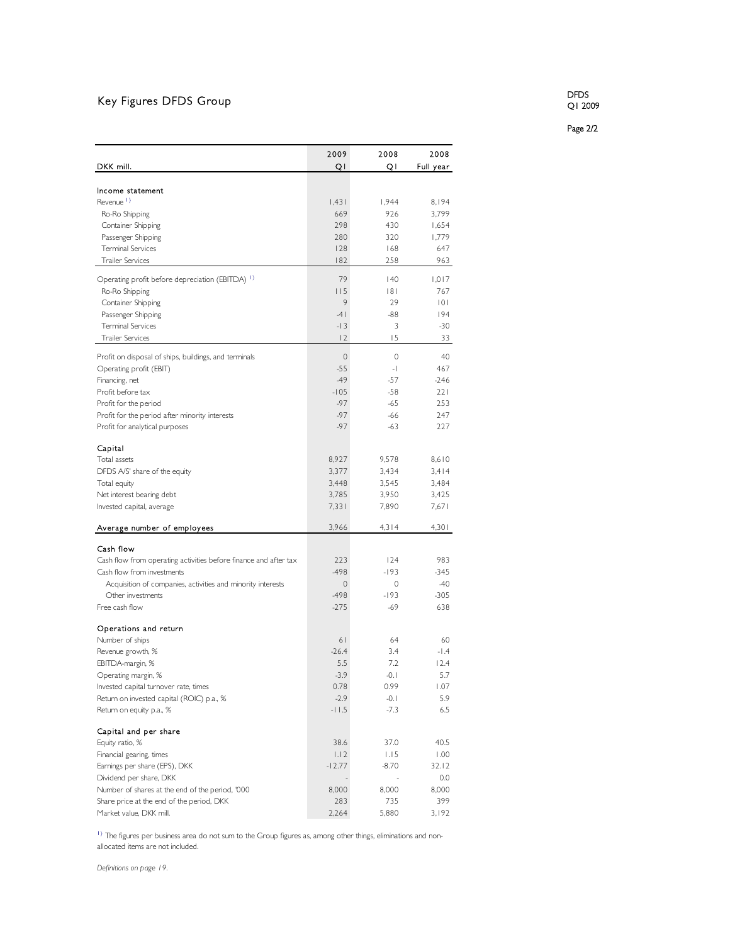# Key Figures DFDS Group

DFDS Q1 2009

Page 2/2

|                                                                                                | 2009        | 2008         | 2008      |
|------------------------------------------------------------------------------------------------|-------------|--------------|-----------|
| DKK mill.                                                                                      | QI          | Q١           | Full year |
| Income statement                                                                               |             |              |           |
| Revenue <sup>1</sup>                                                                           | 1,431       | 1,944        | 8,194     |
| Ro-Ro Shipping                                                                                 | 669         | 926          | 3,799     |
| Container Shipping                                                                             | 298         | 430          | 1,654     |
| Passenger Shipping                                                                             | 280         | 320          | 1,779     |
| <b>Terminal Services</b>                                                                       | 128         | 168          | 647       |
| <b>Trailer Services</b>                                                                        | 182         | 258          | 963       |
|                                                                                                | 79          |              | 1,017     |
| Operating profit before depreciation (EBITDA) 1)<br>Ro-Ro Shipping                             | 115         | 140<br> 8    | 767       |
| Container Shipping                                                                             | 9           | 29           | 101       |
| Passenger Shipping                                                                             | $-4$        | $-88$        | 194       |
| <b>Terminal Services</b>                                                                       | $-13$       | 3            | $-30$     |
| <b>Trailer Services</b>                                                                        | 2           | 15           | 33        |
|                                                                                                |             |              |           |
| Profit on disposal of ships, buildings, and terminals                                          | $\mathbf 0$ | $\mathbf{0}$ | 40        |
| Operating profit (EBIT)                                                                        | $-55$       | $-1$         | 467       |
| Financing, net                                                                                 | $-49$       | $-57$        | $-246$    |
| Profit before tax                                                                              | $-105$      | $-58$        | 221       |
| Profit for the period                                                                          | $-97$       | $-65$        | 253       |
| Profit for the period after minority interests                                                 | $-97$       | $-66$        | 247       |
| Profit for analytical purposes                                                                 | $-97$       | $-63$        | 227       |
| Capital                                                                                        |             |              |           |
| Total assets                                                                                   | 8,927       | 9,578        | 8,610     |
| DFDS A/S' share of the equity                                                                  | 3,377       | 3,434        | 3,414     |
| Total equity                                                                                   | 3,448       | 3,545        | 3,484     |
| Net interest bearing debt                                                                      | 3,785       | 3,950        | 3,425     |
| Invested capital, average                                                                      | 7,331       | 7,890        | 7,671     |
| Average number of employees                                                                    | 3,966       | 4,314        | 4,301     |
|                                                                                                |             |              |           |
| Cash flow                                                                                      | 223         | 124          | 983       |
| Cash flow from operating activities before finance and after tax<br>Cash flow from investments | -498        | -193         | $-345$    |
| Acquisition of companies, activities and minority interests                                    | $\mathbf 0$ | 0            | -40       |
| Other investments                                                                              | -498        | $-193$       | $-305$    |
| Free cash flow                                                                                 | $-275$      | -69          | 638       |
|                                                                                                |             |              |           |
| Operations and return                                                                          |             |              |           |
| Number of ships                                                                                | 61          | 64           | 60        |
| Revenue growth, %                                                                              | $-26.4$     | 3.4          | $-1.4$    |
| EBITDA-margin, %                                                                               | 5.5         | 7.2          | 12.4      |
| Operating margin, %                                                                            | $-3.9$      | $-0.1$       | 5.7       |
| Invested capital turnover rate, times                                                          | 0.78        | 0.99         | 1.07      |
| Return on invested capital (ROIC) p.a., %                                                      | $-2.9$      | $-0.1$       | 5.9       |
| Return on equity p.a., %                                                                       | $-11.5$     | $-7.3$       | 6.5       |
| Capital and per share                                                                          |             |              |           |
| Equity ratio, %                                                                                | 38.6        | 37.0         | 40.5      |
| Financial gearing, times                                                                       | 1.12        | 1.15         | 1.00      |
| Earnings per share (EPS), DKK                                                                  | $-12.77$    | $-8.70$      | 32.12     |
| Dividend per share, DKK                                                                        |             |              | 0.0       |
| Number of shares at the end of the period, '000                                                | 8,000       | 8,000        | 8,000     |
| Share price at the end of the period, DKK                                                      | 283         | 735          | 399       |
| Market value, DKK mill.                                                                        | 2,264       | 5,880        | 3,192     |

<sup>1</sup>) The figures per business area do not sum to the Group figures as, among other things, eliminations and nonallocated items are not included.

*Definitions on page 19.*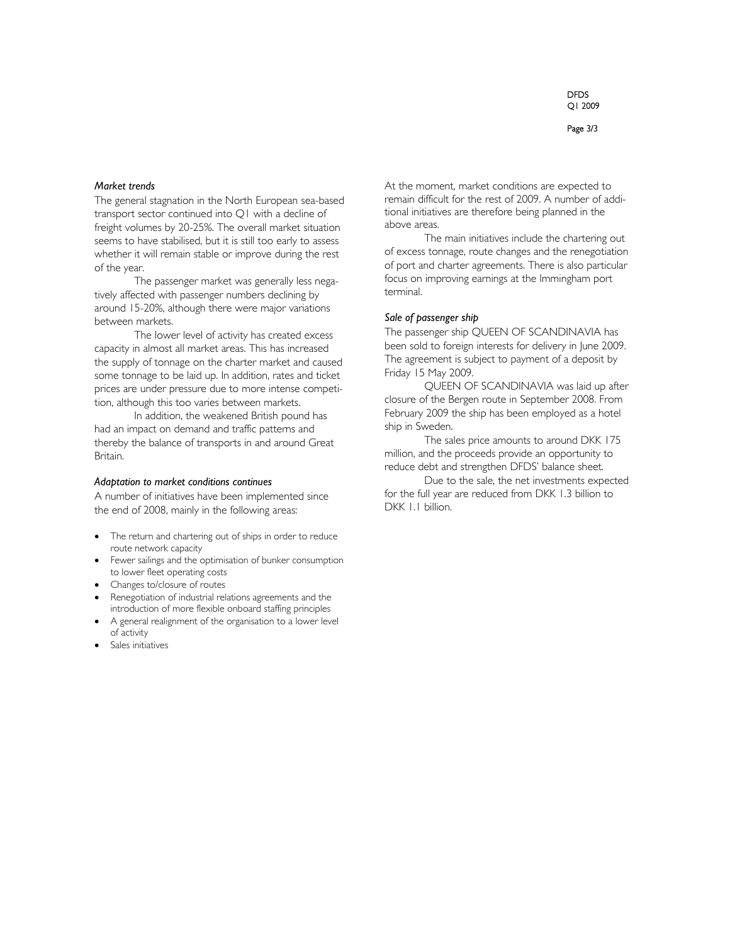Page 3/3

## *Market trends*

The general stagnation in the North European sea-based transport sector continued into Q1 with a decline of freight volumes by 20-25%. The overall market situation seems to have stabilised, but it is still too early to assess whether it will remain stable or improve during the rest of the year.

The passenger market was generally less negatively affected with passenger numbers declining by around 15-20%, although there were major variations between markets.

The lower level of activity has created excess capacity in almost all market areas. This has increased the supply of tonnage on the charter market and caused some tonnage to be laid up. In addition, rates and ticket prices are under pressure due to more intense competition, although this too varies between markets.

In addition, the weakened British pound has had an impact on demand and traffic patterns and thereby the balance of transports in and around Great Britain.

#### *Adaptation to market conditions continues*

A number of initiatives have been implemented since the end of 2008, mainly in the following areas:

- The return and chartering out of ships in order to reduce route network capacity
- Fewer sailings and the optimisation of bunker consumption to lower fleet operating costs
- Changes to/closure of routes
- Renegotiation of industrial relations agreements and the introduction of more flexible onboard staffing principles
- A general realignment of the organisation to a lower level of activity
- Sales initiatives

At the moment, market conditions are expected to remain difficult for the rest of 2009. A number of additional initiatives are therefore being planned in the above areas.

The main initiatives include the chartering out of excess tonnage, route changes and the renegotiation of port and charter agreements. There is also particular focus on improving earnings at the Immingham port terminal.

### *Sale of passenger ship*

The passenger ship QUEEN OF SCANDINAVIA has been sold to foreign interests for delivery in June 2009. The agreement is subject to payment of a deposit by Friday 15 May 2009.

QUEEN OF SCANDINAVIA was laid up after closure of the Bergen route in September 2008. From February 2009 the ship has been employed as a hotel ship in Sweden.

The sales price amounts to around DKK 175 million, and the proceeds provide an opportunity to reduce debt and strengthen DFDS' balance sheet.

Due to the sale, the net investments expected for the full year are reduced from DKK 1.3 billion to DKK 1.1 billion.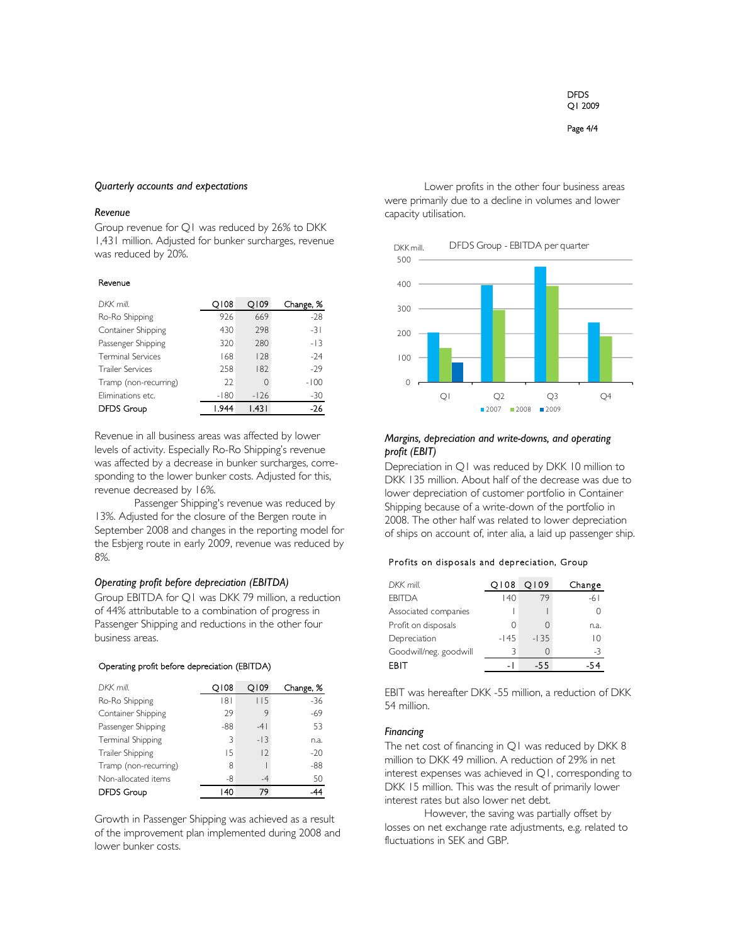Page 4/4

#### *Quarterly accounts and expectations*

# *Revenue*

Group revenue for Q1 was reduced by 26% to DKK 1,431 million. Adjusted for bunker surcharges, revenue was reduced by 20%.

#### Revenue

| DKK mill.                | 0108   | Q109   | Change, % |
|--------------------------|--------|--------|-----------|
| Ro-Ro Shipping           | 926    | 669    | $-28$     |
| Container Shipping       | 430    | 298    | $-31$     |
| Passenger Shipping       | 320    | 280    | $-13$     |
| <b>Terminal Services</b> | 168    | 128    | -24       |
| <b>Trailer Services</b>  | 258    | 182    | $-29$     |
| Tramp (non-recurring)    | 22     | O      | $-100$    |
| Eliminations etc.        | $-180$ | $-126$ | -30       |
| <b>DFDS Group</b>        | 1.944  | 1.431  | -26       |

Revenue in all business areas was affected by lower levels of activity. Especially Ro-Ro Shipping's revenue was affected by a decrease in bunker surcharges, corresponding to the lower bunker costs. Adjusted for this, revenue decreased by 16%.

Passenger Shipping's revenue was reduced by 13%. Adjusted for the closure of the Bergen route in September 2008 and changes in the reporting model for the Esbjerg route in early 2009, revenue was reduced by 8%.

# *Operating profit before depreciation (EBITDA)*

Group EBITDA for Q1 was DKK 79 million, a reduction of 44% attributable to a combination of progress in Passenger Shipping and reductions in the other four business areas.

#### Operating profit before depreciation (EBITDA)

| DKK mill.             | 0108 | 0109    | Change, % |
|-----------------------|------|---------|-----------|
| Ro-Ro Shipping        | 181  | 115     | $-36$     |
| Container Shipping    | 29   | 9       | $-69$     |
| Passenger Shipping    | -88  | $-4$    | 53        |
| Terminal Shipping     | 3    | $-13$   | n.a.      |
| Trailer Shipping      | 15   | $\vert$ | $-20$     |
| Tramp (non-recurring) | 8    |         | $-88$     |
| Non-allocated items   | -8   | $-4$    | 50        |
| <b>DFDS Group</b>     | 140  | 79      | 44        |

Growth in Passenger Shipping was achieved as a result of the improvement plan implemented during 2008 and lower bunker costs.

Lower profits in the other four business areas were primarily due to a decline in volumes and lower capacity utilisation.



 $2007$  2008 2009

# *Margins, depreciation and write-downs, and operating profit (EBIT)*

Depreciation in Q1 was reduced by DKK 10 million to DKK 135 million. About half of the decrease was due to lower depreciation of customer portfolio in Container Shipping because of a write-down of the portfolio in 2008. The other half was related to lower depreciation of ships on account of, inter alia, a laid up passenger ship.

## Profits on disposals and depreciation, Group

| DKK mill.              | Q108   | 0109   | Change |
|------------------------|--------|--------|--------|
| <b>FBITDA</b>          | 140    | 79     | -61    |
| Associated companies   |        |        |        |
| Profit on disposals    | 0      | 0      | n.a.   |
| Depreciation           | $-145$ | $-135$ | IΩ     |
| Goodwill/neg. goodwill |        |        | -3     |
| EBIT                   |        | -55    |        |

EBIT was hereafter DKK -55 million, a reduction of DKK 54 million.

#### *Financing*

The net cost of financing in Q1 was reduced by DKK 8 million to DKK 49 million. A reduction of 29% in net interest expenses was achieved in Q1, corresponding to DKK 15 million. This was the result of primarily lower interest rates but also lower net debt.

However, the saving was partially offset by losses on net exchange rate adjustments, e.g. related to fluctuations in SEK and GBP.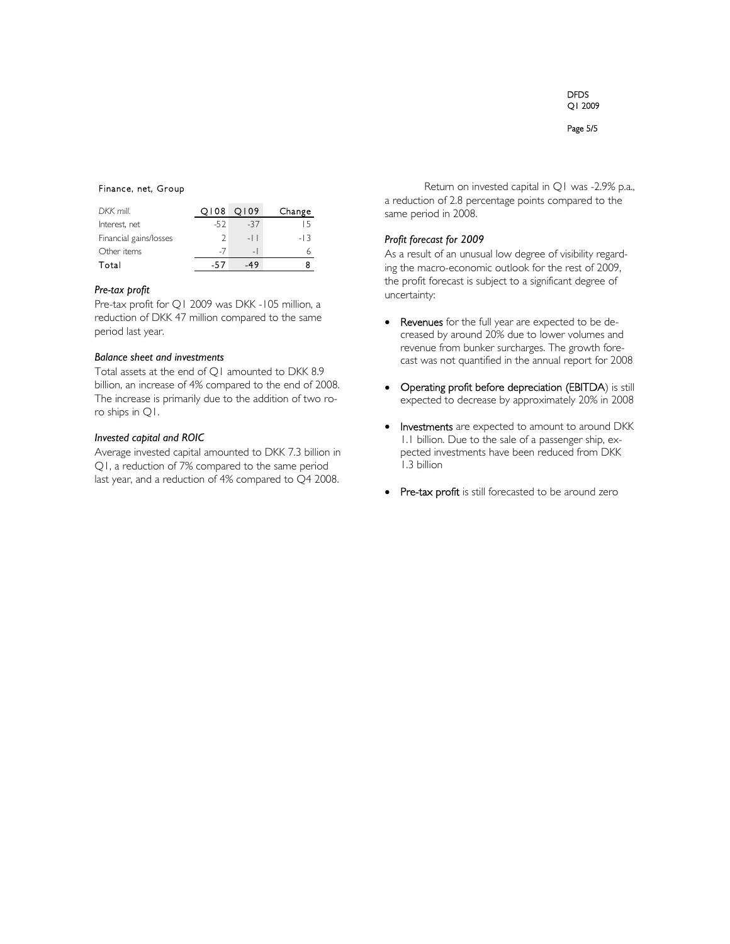### Finance, net, Group

| DKK mill.              |      | 0108 0109      | Change |
|------------------------|------|----------------|--------|
| Interest, net          | -52  | $-37$          | ר ו    |
| Financial gains/losses |      | $-11$          | $-13$  |
| Other items            | $-1$ | $\overline{a}$ |        |
| Total                  | -57  | 49             |        |

### *Pre-tax profit*

Pre-tax profit for Q1 2009 was DKK -105 million, a reduction of DKK 47 million compared to the same period last year.

# *Balance sheet and investments*

Total assets at the end of Q1 amounted to DKK 8.9 billion, an increase of 4% compared to the end of 2008. The increase is primarily due to the addition of two roro ships in Q1.

# *Invested capital and ROIC*

Average invested capital amounted to DKK 7.3 billion in Q1, a reduction of 7% compared to the same period last year, and a reduction of 4% compared to Q4 2008.

Return on invested capital in Q1 was -2.9% p.a., a reduction of 2.8 percentage points compared to the same period in 2008.

# *Profit forecast for 2009*

As a result of an unusual low degree of visibility regarding the macro-economic outlook for the rest of 2009, the profit forecast is subject to a significant degree of uncertainty:

- Revenues for the full year are expected to be decreased by around 20% due to lower volumes and revenue from bunker surcharges. The growth forecast was not quantified in the annual report for 2008
- Operating profit before depreciation (EBITDA) is still expected to decrease by approximately 20% in 2008
- Investments are expected to amount to around DKK 1.1 billion. Due to the sale of a passenger ship, expected investments have been reduced from DKK 1.3 billion
- Pre-tax profit is still forecasted to be around zero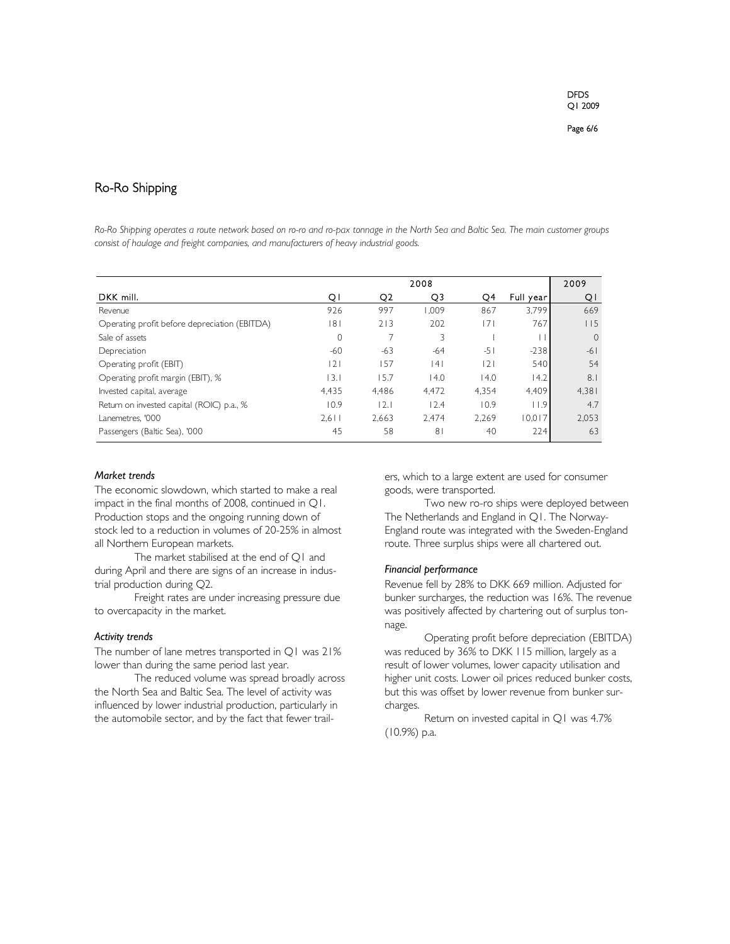# Ro-Ro Shipping

*Ro-Ro Shipping operates a route network based on ro-ro and ro-pax tonnage in the North Sea and Baltic Sea. The main customer groups consist of haulage and freight companies, and manufacturers of heavy industrial goods.* 

|                                               | 2008         |                |                |       | 2009       |          |
|-----------------------------------------------|--------------|----------------|----------------|-------|------------|----------|
| DKK mill.                                     | ΟI           | O <sub>2</sub> | Q3             | Q4    | Full year! | QI       |
| Revenue                                       | 926          | 997            | 1.009          | 867   | 3.799      | 669      |
| Operating profit before depreciation (EBITDA) | 181          | 213            | 202            | 171   | 767        | 115      |
| Sale of assets                                | $\mathbf{0}$ |                |                |       |            | $\Omega$ |
| Depreciation                                  | $-60$        | -63            | $-64$          | $-51$ | $-238$     | $-61$    |
| Operating profit (EBIT)                       | 2            | 157            | 141            | 2     | 540        | 54       |
| Operating profit margin (EBIT), %             | 3.1          | 15.7           | 14.0           | 14.0  | 14.2       | 8.1      |
| Invested capital, average                     | 4,435        | 4.486          | 4.472          | 4.354 | 4,409      | 4,381    |
| Return on invested capital (ROIC) p.a., %     | 10.9         | 2.1            | 12.4           | 10.9  | 11.9       | 4.7      |
| Lanemetres. '000                              | $2.6$        | 2.663          | 2.474          | 2,269 | 10.017     | 2.053    |
| Passengers (Baltic Sea), '000                 | 45           | 58             | 8 <sup>1</sup> | 40    | 224        | 63       |

### *Market trends*

The economic slowdown, which started to make a real impact in the final months of 2008, continued in Q1. Production stops and the ongoing running down of stock led to a reduction in volumes of 20-25% in almost all Northern European markets.

The market stabilised at the end of Q1 and during April and there are signs of an increase in industrial production during Q2.

Freight rates are under increasing pressure due to overcapacity in the market.

# *Activity trends*

The number of lane metres transported in Q1 was 21% lower than during the same period last year.

The reduced volume was spread broadly across the North Sea and Baltic Sea. The level of activity was influenced by lower industrial production, particularly in the automobile sector, and by the fact that fewer trailers, which to a large extent are used for consumer goods, were transported.

Two new ro-ro ships were deployed between The Netherlands and England in Q1. The Norway-England route was integrated with the Sweden-England route. Three surplus ships were all chartered out.

#### *Financial performance*

Revenue fell by 28% to DKK 669 million. Adjusted for bunker surcharges, the reduction was 16%. The revenue was positively affected by chartering out of surplus tonnage.

Operating profit before depreciation (EBITDA) was reduced by 36% to DKK 115 million, largely as a result of lower volumes, lower capacity utilisation and higher unit costs. Lower oil prices reduced bunker costs, but this was offset by lower revenue from bunker surcharges.

Return on invested capital in Q1 was 4.7% (10.9%) p.a.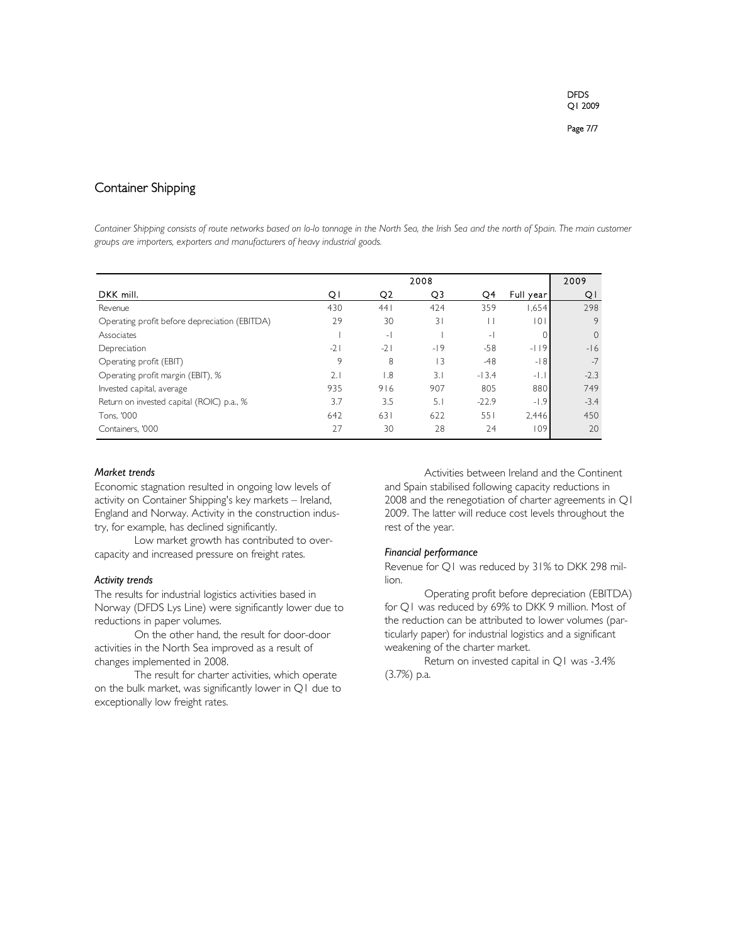# Container Shipping

Container Shipping consists of route networks based on lo-lo tonnage in the North Sea, the Irish Sea and the north of Spain. The main customer *groups are importers, exporters and manufacturers of heavy industrial goods.* 

|                                               | 2008  |                          |       |                          | 2009       |          |
|-----------------------------------------------|-------|--------------------------|-------|--------------------------|------------|----------|
| DKK mill.                                     | QΙ    | Q <sub>2</sub>           | Q3    | O4                       | Full year! | QI       |
| Revenue                                       | 430   | 441                      | 424   | 359                      | 1,654      | 298      |
| Operating profit before depreciation (EBITDA) | 29    | 30                       | 31    |                          | 101        | 9        |
| Associates                                    |       | $\overline{\phantom{0}}$ |       | $\overline{\phantom{0}}$ | 0          | $\Omega$ |
| Depreciation                                  | $-21$ | $-21$                    | $-19$ | $-58$                    | $-119$     | $-16$    |
| Operating profit (EBIT)                       | 9     | 8                        | 3     | $-48$                    | $-18$      | $-7$     |
| Operating profit margin (EBIT), %             | 2.1   | 1.8                      | 3.1   | $-13.4$                  | $-1.1$     | $-2.3$   |
| Invested capital, average                     | 935   | 916                      | 907   | 805                      | 880        | 749      |
| Return on invested capital (ROIC) p.a., %     | 3.7   | 3.5                      | 5.1   | $-22.9$                  | $-1.9$     | $-3.4$   |
| Tons, '000                                    | 642   | 631                      | 622   | 551                      | 2.446      | 450      |
| Containers, '000                              | 27    | 30                       | 28    | 24                       | 109        | 20       |

### *Market trends*

Economic stagnation resulted in ongoing low levels of activity on Container Shipping's key markets – Ireland, England and Norway. Activity in the construction industry, for example, has declined significantly.

Low market growth has contributed to overcapacity and increased pressure on freight rates.

#### *Activity trends*

The results for industrial logistics activities based in Norway (DFDS Lys Line) were significantly lower due to reductions in paper volumes.

On the other hand, the result for door-door activities in the North Sea improved as a result of changes implemented in 2008.

The result for charter activities, which operate on the bulk market, was significantly lower in Q1 due to exceptionally low freight rates.

Activities between Ireland and the Continent and Spain stabilised following capacity reductions in 2008 and the renegotiation of charter agreements in Q1 2009. The latter will reduce cost levels throughout the rest of the year.

# *Financial performance*

Revenue for Q1 was reduced by 31% to DKK 298 million.

Operating profit before depreciation (EBITDA) for Q1 was reduced by 69% to DKK 9 million. Most of the reduction can be attributed to lower volumes (particularly paper) for industrial logistics and a significant weakening of the charter market.

Return on invested capital in Q1 was -3.4% (3.7%) p.a.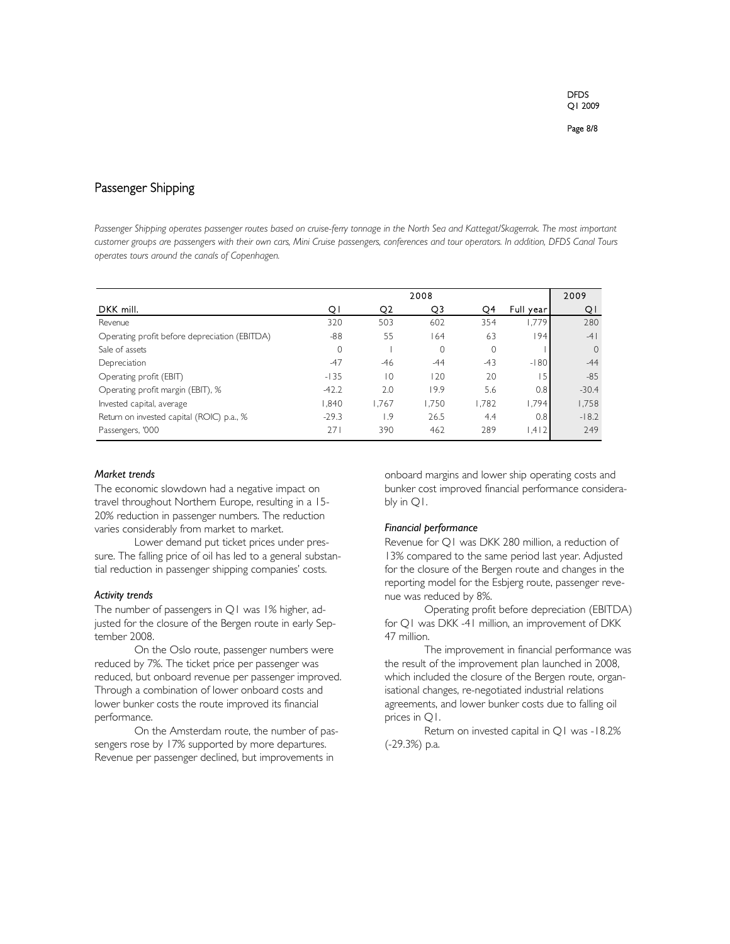# Passenger Shipping

Passenger Shipping operates passenger routes based on cruise-ferry tonnage in the North Sea and Kattegat/Skagerrak. The most important *customer groups are passengers with their own cars, Mini Cruise passengers, conferences and tour operators. In addition, DFDS Canal Tours operates tours around the canals of Copenhagen.* 

|                                               | 2008         |                |       |       | 2009       |              |
|-----------------------------------------------|--------------|----------------|-------|-------|------------|--------------|
| DKK mill.                                     | QI           | Q <sub>2</sub> | Q3    | Q4    | Full year! | Q١           |
| Revenue                                       | 320          | 503            | 602   | 354   | 1.779      | 280          |
| Operating profit before depreciation (EBITDA) | $-88$        | 55             | 164   | 63    | 94         | $-4$         |
| Sale of assets                                | $\mathbf{0}$ |                | 0     | 0     |            | $\mathbf{0}$ |
| Depreciation                                  | $-47$        | -46            | $-44$ | $-43$ | $-180$     | $-44$        |
| Operating profit (EBIT)                       | $-135$       | 10             | 120   | 20    | 15         | $-85$        |
| Operating profit margin (EBIT), %             | $-42.2$      | 2.0            | 19.9  | 5.6   | 0.8        | $-30.4$      |
| Invested capital, average                     | 840          | 1.767          | 1.750 | 1,782 | 1.794      | 1,758        |
| Return on invested capital (ROIC) p.a., %     | $-29.3$      | 1.9            | 26.5  | 4.4   | 0.8        | $-18.2$      |
| Passengers, '000                              | 271          | 390            | 462   | 289   | 1,412      | 249          |

## *Market trends*

The economic slowdown had a negative impact on travel throughout Northern Europe, resulting in a 15- 20% reduction in passenger numbers. The reduction varies considerably from market to market.

Lower demand put ticket prices under pressure. The falling price of oil has led to a general substantial reduction in passenger shipping companies' costs.

#### *Activity trends*

The number of passengers in Q1 was 1% higher, adjusted for the closure of the Bergen route in early September 2008.

On the Oslo route, passenger numbers were reduced by 7%. The ticket price per passenger was reduced, but onboard revenue per passenger improved. Through a combination of lower onboard costs and lower bunker costs the route improved its financial performance.

On the Amsterdam route, the number of passengers rose by 17% supported by more departures. Revenue per passenger declined, but improvements in

onboard margins and lower ship operating costs and bunker cost improved financial performance considerably in Q1.

# *Financial performance*

Revenue for Q1 was DKK 280 million, a reduction of 13% compared to the same period last year. Adjusted for the closure of the Bergen route and changes in the reporting model for the Esbjerg route, passenger revenue was reduced by 8%.

Operating profit before depreciation (EBITDA) for Q1 was DKK -41 million, an improvement of DKK 47 million.

The improvement in financial performance was the result of the improvement plan launched in 2008, which included the closure of the Bergen route, organisational changes, re-negotiated industrial relations agreements, and lower bunker costs due to falling oil prices in Q1.

Return on invested capital in Q1 was -18.2% (-29.3%) p.a.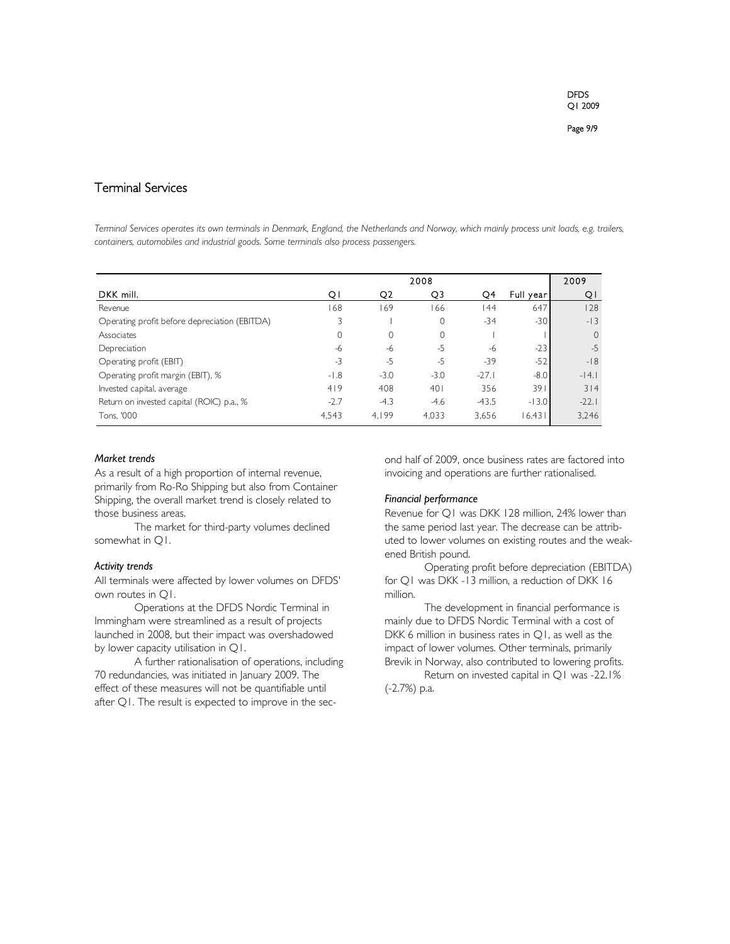# Terminal Services

*Terminal Services operates its own terminals in Denmark, England, the Netherlands and Norway, which mainly process unit loads, e.g. trailers, containers, automobiles and industrial goods. Some terminals also process passengers.* 

|                                               | 2008   |                |          |         | 2009      |              |
|-----------------------------------------------|--------|----------------|----------|---------|-----------|--------------|
| DKK mill.                                     | ΟI     | Q <sub>2</sub> | Q3       | Q4      | Full year | QΙ           |
| Revenue                                       | 168    | 169            | 166      | 144     | 647       | 128          |
| Operating profit before depreciation (EBITDA) |        |                | $\Omega$ | $-34$   | $-30$     | $-13$        |
| Associates                                    | 0      | 0              | 0        |         |           | $\mathbf{0}$ |
| Depreciation                                  | -6     | -6             | $-5$     | -6      | $-23$     | $-5$         |
| Operating profit (EBIT)                       | $-3$   | $-5$           | $-5$     | $-39$   | $-52$     | $-18$        |
| Operating profit margin (EBIT), %             | $-1.8$ | $-3.0$         | $-3.0$   | $-27.1$ | $-8.0$    | $-14.1$      |
| Invested capital, average                     | 419    | 408            | 401      | 356     | 391       | 314          |
| Return on invested capital (ROIC) p.a., %     | $-2.7$ | $-4.3$         | $-4.6$   | $-43.5$ | $-13.0$   | $-22.1$      |
| Tons, '000                                    | 4,543  | 4.199          | 4,033    | 3,656   | 16,431    | 3,246        |

## *Market trends*

As a result of a high proportion of internal revenue, primarily from Ro-Ro Shipping but also from Container Shipping, the overall market trend is closely related to those business areas.

The market for third-party volumes declined somewhat in Q1.

# *Activity trends*

All terminals were affected by lower volumes on DFDS' own routes in Q1.

Operations at the DFDS Nordic Terminal in Immingham were streamlined as a result of projects launched in 2008, but their impact was overshadowed by lower capacity utilisation in Q1.

A further rationalisation of operations, including 70 redundancies, was initiated in January 2009. The effect of these measures will not be quantifiable until after Q1. The result is expected to improve in the second half of 2009, once business rates are factored into invoicing and operations are further rationalised.

## *Financial performance*

Revenue for Q1 was DKK 128 million, 24% lower than the same period last year. The decrease can be attributed to lower volumes on existing routes and the weakened British pound.

Operating profit before depreciation (EBITDA) for Q1 was DKK -13 million, a reduction of DKK 16 million.

The development in financial performance is mainly due to DFDS Nordic Terminal with a cost of DKK 6 million in business rates in Q1, as well as the impact of lower volumes. Other terminals, primarily Brevik in Norway, also contributed to lowering profits.

Return on invested capital in Q1 was -22.1% (-2.7%) p.a.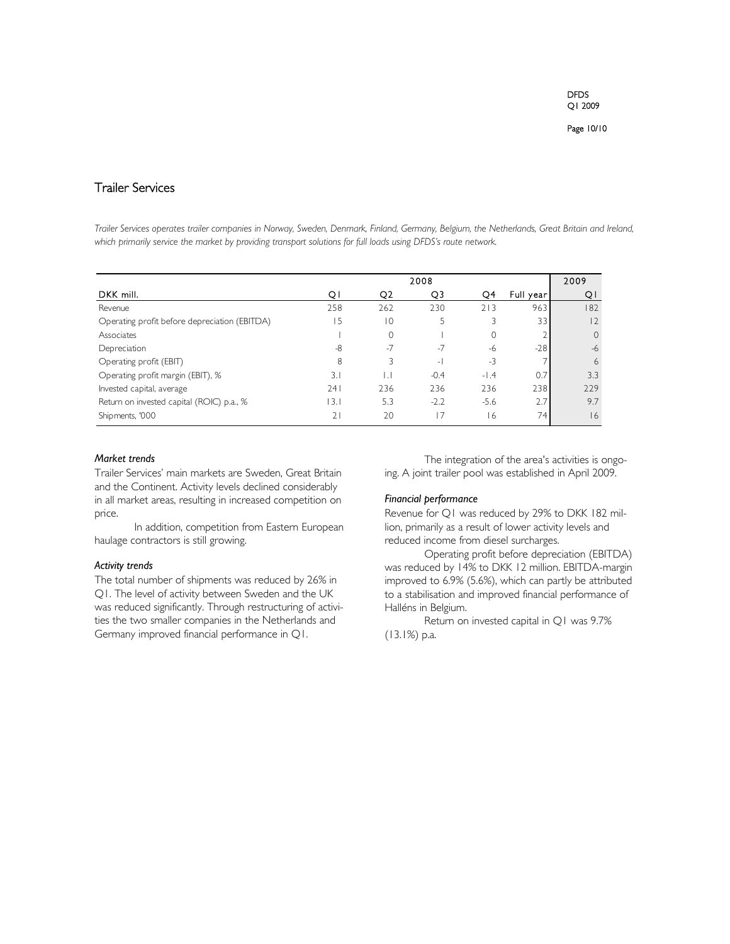Page 10/10

# Trailer Services

*Trailer Services operates trailer companies in Norway, Sweden, Denmark, Finland, Germany, Belgium, the Netherlands, Great Britain and Ireland, which primarily service the market by providing transport solutions for full loads using DFDS's route network.* 

|                                               | 2008 |                |        |          | 2009      |              |
|-----------------------------------------------|------|----------------|--------|----------|-----------|--------------|
| DKK mill.                                     | QΙ   | Q <sub>2</sub> | Q3     | Q4       | Full year | Q١           |
| Revenue                                       | 258  | 262            | 230    | 213      | 963       | 182          |
| Operating profit before depreciation (EBITDA) | 15   | 10             |        |          | 33        | 2            |
| Associates                                    |      |                |        | $\Omega$ |           | $\mathbf{0}$ |
| Depreciation                                  | $-8$ | $-7$           | $-7$   | -6       | $-28$     | $-6$         |
| Operating profit (EBIT)                       | 8    |                | $-1$   | $-3$     |           | 6            |
| Operating profit margin (EBIT), %             | 3.   | IJ             | $-0.4$ | $-1.4$   | 0.7       | 3.3          |
| Invested capital, average                     | 241  | 236            | 236    | 236      | 238       | 229          |
| Return on invested capital (ROIC) p.a., %     | 13.1 | 5.3            | $-2.2$ | $-5.6$   | 2.7       | 9.7          |
| Shipments, '000                               | 2    | 20             |        | 16       | 74        | 16           |

# *Market trends*

Trailer Services' main markets are Sweden, Great Britain and the Continent. Activity levels declined considerably in all market areas, resulting in increased competition on price.

In addition, competition from Eastern European haulage contractors is still growing.

# *Activity trends*

The total number of shipments was reduced by 26% in Q1. The level of activity between Sweden and the UK was reduced significantly. Through restructuring of activities the two smaller companies in the Netherlands and Germany improved financial performance in Q1.

The integration of the area's activities is ongoing. A joint trailer pool was established in April 2009.

# *Financial performance*

Revenue for Q1 was reduced by 29% to DKK 182 million, primarily as a result of lower activity levels and reduced income from diesel surcharges.

Operating profit before depreciation (EBITDA) was reduced by 14% to DKK 12 million. EBITDA-margin improved to 6.9% (5.6%), which can partly be attributed to a stabilisation and improved financial performance of Halléns in Belgium.

Return on invested capital in Q1 was 9.7% (13.1%) p.a.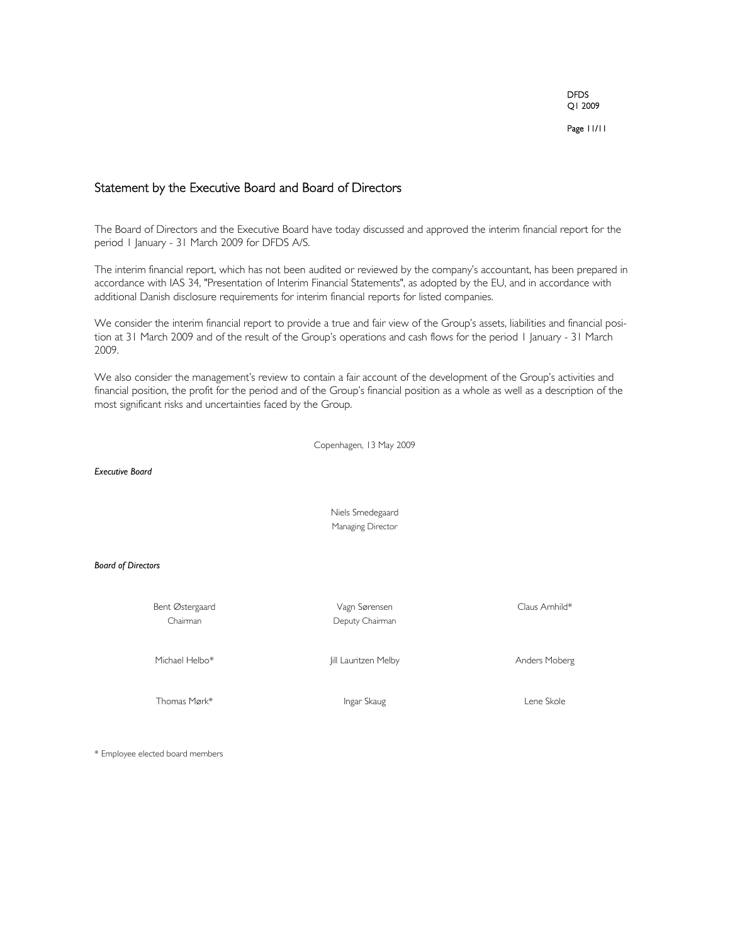Page 11/11

# Statement by the Executive Board and Board of Directors

The Board of Directors and the Executive Board have today discussed and approved the interim financial report for the period 1 January - 31 March 2009 for DFDS A/S.

The interim financial report, which has not been audited or reviewed by the company's accountant, has been prepared in accordance with IAS 34, "Presentation of Interim Financial Statements", as adopted by the EU, and in accordance with additional Danish disclosure requirements for interim financial reports for listed companies.

We consider the interim financial report to provide a true and fair view of the Group's assets, liabilities and financial position at 31 March 2009 and of the result of the Group's operations and cash flows for the period 1 January - 31 March 2009.

We also consider the management's review to contain a fair account of the development of the Group's activities and financial position, the profit for the period and of the Group's financial position as a whole as well as a description of the most significant risks and uncertainties faced by the Group.

Copenhagen, 13 May 2009

*Executive Board*

Niels Smedegaard Managing Director

#### *Board of Directors*

Bent Østergaard Vagn Sørensen Claus Arnhild\*

Chairman Deputy Chairman

Michael Helbo\* Jill Lauritzen Melby Anders Moberg

Thomas Mørk\* Thomas Mørk i Lene Skole

\* Employee elected board members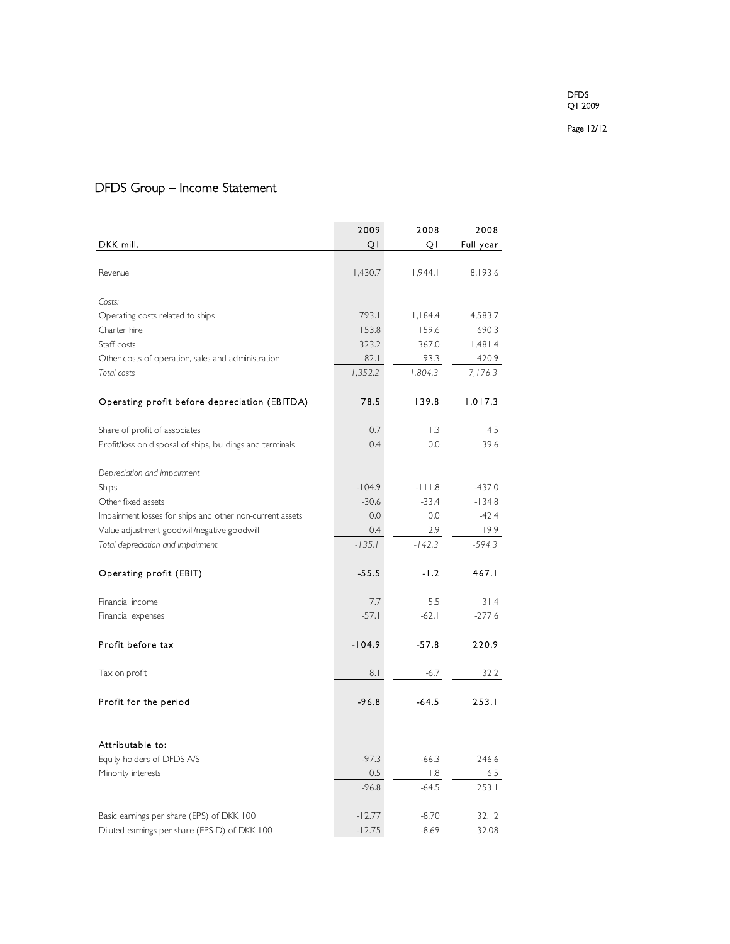Page 12/12

# DFDS Group – Income Statement

|                                                           | 2009     | 2008     | 2008      |
|-----------------------------------------------------------|----------|----------|-----------|
| DKK mill.                                                 | QI       | QI       | Full year |
|                                                           |          |          |           |
| Revenue                                                   | 1,430.7  | 1,944.1  | 8,193.6   |
|                                                           |          |          |           |
| Costs:                                                    |          |          |           |
| Operating costs related to ships                          | 793.1    | 1,184.4  | 4,583.7   |
| Charter hire                                              | 153.8    | 159.6    | 690.3     |
| Staff costs                                               | 323.2    | 367.0    | 1,481.4   |
| Other costs of operation, sales and administration        | 82.1     | 93.3     | 420.9     |
| Total costs                                               | 1,352.2  | 1.804.3  | 7,176.3   |
| Operating profit before depreciation (EBITDA)             | 78.5     | 139.8    | 1,017.3   |
| Share of profit of associates                             | 0.7      | 1.3      | 4.5       |
| Profit/loss on disposal of ships, buildings and terminals | 0.4      | 0.0      | 39.6      |
| Depreciation and impairment                               |          |          |           |
| Ships                                                     | $-104.9$ | $-111.8$ | $-437.0$  |
| Other fixed assets                                        | $-30.6$  | $-33.4$  | $-134.8$  |
| Impairment losses for ships and other non-current assets  | 0.0      | 0.0      | $-42.4$   |
| Value adjustment goodwill/negative goodwill               | 0.4      | 2.9      | 19.9      |
| Total depreciation and impairment                         | $-135.1$ | $-142.3$ | $-594.3$  |
|                                                           |          |          |           |
| Operating profit (EBIT)                                   | $-55.5$  | $-1.2$   | 467.1     |
|                                                           |          |          |           |
| Financial income                                          | 7.7      | 5.5      | 31.4      |
| Financial expenses                                        | $-57.1$  | $-62.1$  | -277.6    |
| Profit before tax                                         | $-104.9$ | $-57.8$  | 220.9     |
| Tax on profit                                             | 8.1      | -6.7     | 32.2      |
|                                                           | $-96.8$  |          |           |
| Profit for the period                                     |          | $-64.5$  | 253.1     |
|                                                           |          |          |           |
| Attributable to:                                          |          |          |           |
| Equity holders of DFDS A/S                                | $-97.3$  | $-66.3$  | 246.6     |
| Minority interests                                        | 0.5      | 1.8      | 6.5       |
|                                                           | $-96.8$  | $-64.5$  | 253.1     |
| Basic earnings per share (EPS) of DKK 100                 | $-12.77$ | $-8.70$  | 32.12     |
| Diluted earnings per share (EPS-D) of DKK 100             | $-12.75$ | $-8.69$  | 32.08     |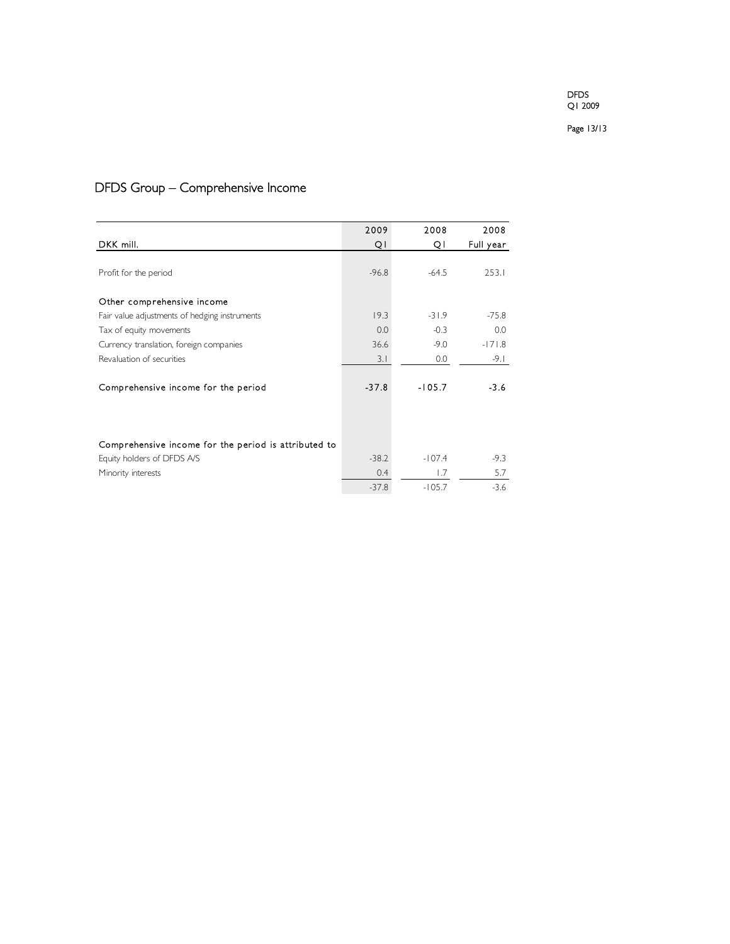Page 13/13

# DFDS Group – Comprehensive Income

|                                                      | 2009    | 2008     | 2008      |
|------------------------------------------------------|---------|----------|-----------|
| DKK mill.                                            | QI      | Q١       | Full year |
|                                                      |         |          |           |
| Profit for the period                                | $-96.8$ | $-64.5$  | 253.1     |
|                                                      |         |          |           |
| Other comprehensive income                           |         |          |           |
| Fair value adjustments of hedging instruments        | 19.3    | $-31.9$  | $-75.8$   |
| Tax of equity movements                              | 0.0     | $-0.3$   | 0.0       |
| Currency translation, foreign companies              | 36.6    | $-9.0$   | $-171.8$  |
| Revaluation of securities                            | 3.1     | 0.0      | -9.1      |
|                                                      |         |          |           |
| Comprehensive income for the period                  | $-37.8$ | $-105.7$ | $-3.6$    |
|                                                      |         |          |           |
|                                                      |         |          |           |
|                                                      |         |          |           |
| Comprehensive income for the period is attributed to |         |          |           |
| Equity holders of DFDS A/S                           | $-38.2$ | $-107.4$ | $-9.3$    |
| Minority interests                                   | 0.4     | 1.7      | 5.7       |
|                                                      | $-37.8$ | $-105.7$ | $-3.6$    |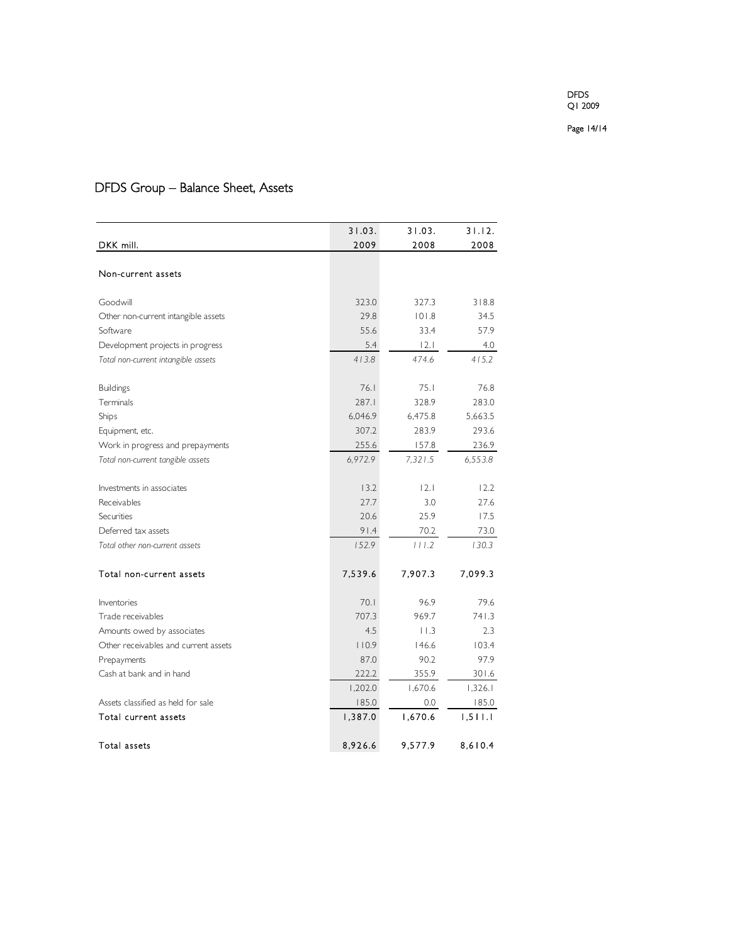Page 14/14

# DFDS Group – Balance Sheet, Assets

|                                      | 31.03.  | 31.03.  | 31.12.  |
|--------------------------------------|---------|---------|---------|
| DKK mill.                            | 2009    | 2008    | 2008    |
|                                      |         |         |         |
| Non-current assets                   |         |         |         |
|                                      |         |         |         |
| Goodwill                             | 323.0   | 327.3   | 318.8   |
| Other non-current intangible assets  | 29.8    | 101.8   | 34.5    |
| Software                             | 55.6    | 33.4    | 57.9    |
| Development projects in progress     | 5.4     | 2.1     | 4.0     |
| Total non-current intangible assets  | 413.8   | 474.6   | 415.2   |
|                                      |         |         |         |
| <b>Buildings</b>                     | 76.1    | 75.1    | 76.8    |
| Terminals                            | 287.1   | 328.9   | 283.0   |
| Ships                                | 6,046.9 | 6,475.8 | 5,663.5 |
| Equipment, etc.                      | 307.2   | 283.9   | 293.6   |
| Work in progress and prepayments     | 255.6   | 157.8   | 236.9   |
| Total non-current tangible assets    | 6,972.9 | 7,321.5 | 6,553.8 |
|                                      |         |         |         |
| Investments in associates            | 13.2    | 12.1    | 12.2    |
| Receivables                          | 27.7    | 3.0     | 27.6    |
| Securities                           | 20.6    | 25.9    | 17.5    |
| Deferred tax assets                  | 91.4    | 70.2    | 73.0    |
| Total other non-current assets       | 152.9   | 111.2   | 130.3   |
|                                      |         |         |         |
| Total non-current assets             | 7,539.6 | 7,907.3 | 7,099.3 |
| Inventories                          | 70.1    | 96.9    | 79.6    |
| Trade receivables                    | 707.3   | 969.7   | 741.3   |
| Amounts owed by associates           | 4.5     | 11.3    | 2.3     |
| Other receivables and current assets | 110.9   | 146.6   | 103.4   |
| Prepayments                          | 87.0    | 90.2    | 97.9    |
| Cash at bank and in hand             | 222.2   | 355.9   | 301.6   |
|                                      | 1,202.0 | 1,670.6 | 1,326.1 |
| Assets classified as held for sale   | 185.0   | 0.0     | 185.0   |
| Total current assets                 | 1,387.0 | 1,670.6 | 1,511.1 |
| Total assets                         | 8,926.6 | 9,577.9 | 8,610.4 |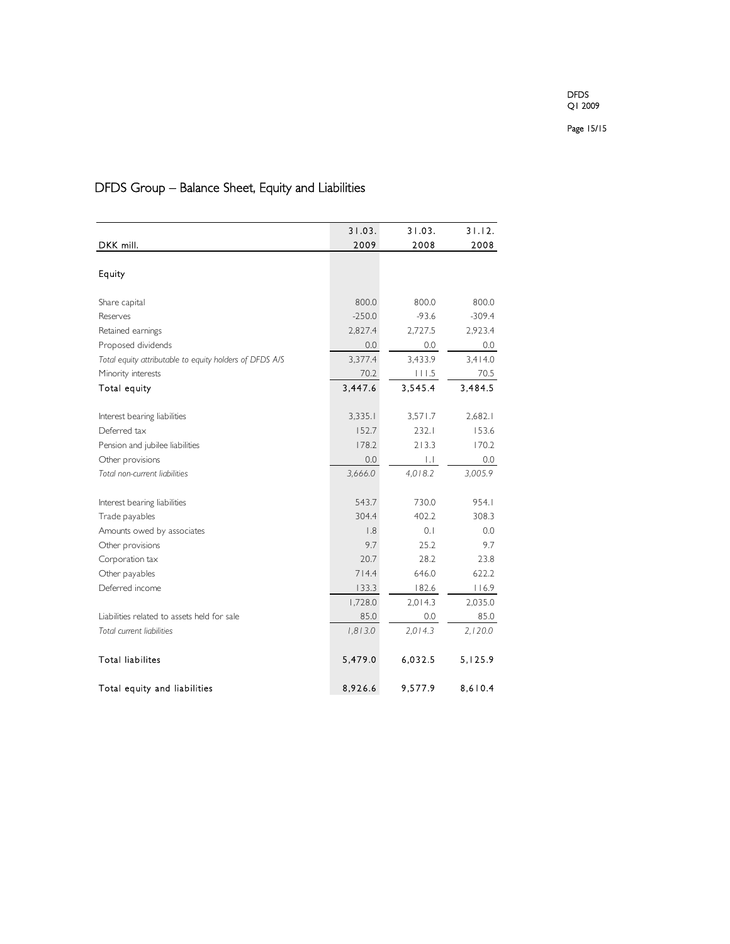Page 15/15

# DFDS Group – Balance Sheet, Equity and Liabilities

|                                                         | 31.03.   | 31.03.       | 31.12.   |
|---------------------------------------------------------|----------|--------------|----------|
| DKK mill.                                               | 2009     | 2008         | 2008     |
|                                                         |          |              |          |
| Equity                                                  |          |              |          |
|                                                         |          |              |          |
| Share capital                                           | 800.0    | 800.0        | 800.0    |
| Reserves                                                | $-250.0$ | $-93.6$      | $-309.4$ |
| Retained earnings                                       | 2,827.4  | 2,727.5      | 2,923.4  |
| Proposed dividends                                      | 0.0      | 0.0          | 0.0      |
| Total equity attributable to equity holders of DFDS A/S | 3,377.4  | 3,433.9      | 3,414.0  |
| Minority interests                                      | 70.2     | 111.5        | 70.5     |
| Total equity                                            | 3,447.6  | 3,545.4      | 3,484.5  |
|                                                         |          |              |          |
| Interest bearing liabilities                            | 3,335.1  | 3,571.7      | 2,682.1  |
| Deferred tax                                            | 152.7    | 232.1        | 153.6    |
| Pension and jubilee liabilities                         | 178.2    | 213.3        | 170.2    |
| Other provisions                                        | 0.0      | $\mathbf{L}$ | 0.0      |
| Total non-current liabilities                           | 3,666.0  | 4,018.2      | 3,005.9  |
|                                                         |          |              |          |
| Interest bearing liabilities                            | 543.7    | 730.0        | 954.1    |
| Trade payables                                          | 304.4    | 402.2        | 308.3    |
| Amounts owed by associates                              | 1.8      | 0.1          | 0.0      |
| Other provisions                                        | 9.7      | 25.2         | 9.7      |
| Corporation tax                                         | 20.7     | 28.2         | 23.8     |
| Other payables                                          | 714.4    | 646.0        | 622.2    |
| Deferred income                                         | 133.3    | 182.6        | 116.9    |
|                                                         | 1,728.0  | 2,014.3      | 2,035.0  |
| Liabilities related to assets held for sale             | 85.0     | 0.0          | 85.0     |
| Total current liabilities                               | 1,813.0  | 2.014.3      | 2,120.0  |
|                                                         |          |              |          |
| <b>Total liabilites</b>                                 | 5,479.0  | 6,032.5      | 5,125.9  |
| Total equity and liabilities                            | 8,926.6  | 9,577.9      | 8,610.4  |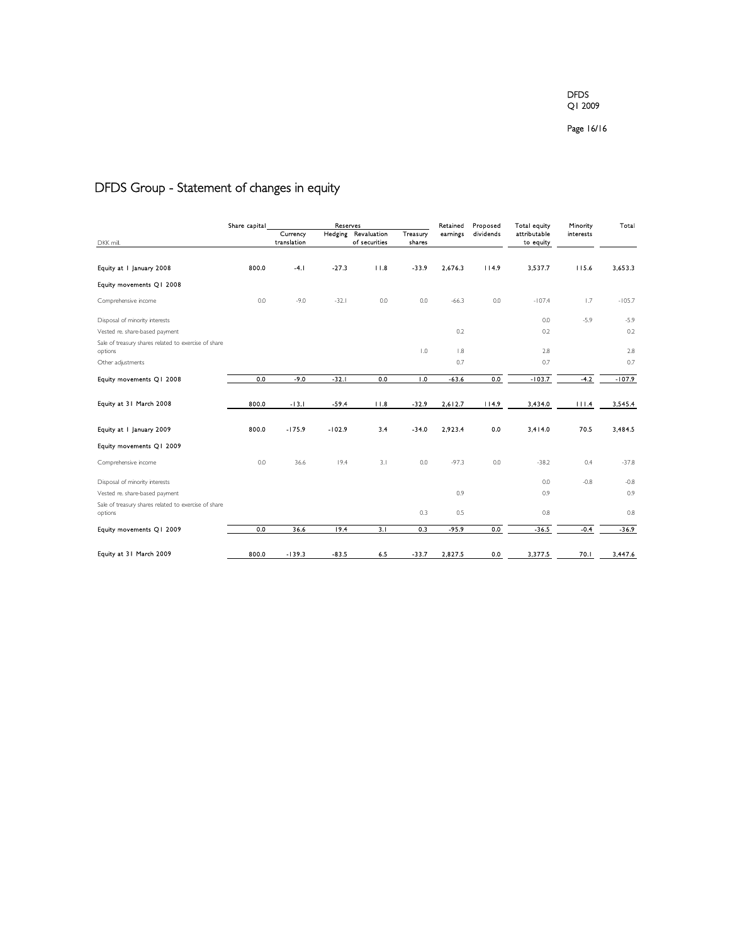#### Page 16/16

# DFDS Group - Statement of changes in equity

| 800.0 | Currency<br>translation<br>$-4.1$ | Hedging  | Revaluation<br>of securities | Treasury<br>shares | earnings | dividends | attributable<br>to equity | interests |          |
|-------|-----------------------------------|----------|------------------------------|--------------------|----------|-----------|---------------------------|-----------|----------|
|       |                                   |          |                              |                    |          |           |                           |           |          |
|       |                                   |          |                              |                    |          |           |                           |           |          |
|       |                                   | $-27.3$  | 11.8                         | $-33.9$            | 2,676.3  | 114.9     | 3.537.7                   | 115.6     | 3,653.3  |
|       |                                   |          |                              |                    |          |           |                           |           |          |
| 0.0   | $-9.0$                            | $-32.1$  | 0.0                          | 0.0                | $-66.3$  | 0.0       | $-107.4$                  | 1.7       | $-105.7$ |
|       |                                   |          |                              |                    |          |           | 0.0                       | $-5.9$    | $-5.9$   |
|       |                                   |          |                              |                    | 0.2      |           | 0.2                       |           | 0.2      |
|       |                                   |          |                              | 1.0                | 1.8      |           | 2.8                       |           | 2.8      |
|       |                                   |          |                              |                    | 0.7      |           | 0.7                       |           | 0.7      |
| 0.0   | $-9.0$                            | $-32.1$  | 0.0                          | $\overline{1.0}$   | $-63.6$  | 0.0       | $-103.7$                  | $-4.2$    | $-107.9$ |
| 800.0 | $-13.1$                           | $-59.4$  | 11.8                         | $-32.9$            | 2,612.7  | 114.9     | 3,434.0                   | 111.4     | 3,545.4  |
| 800.0 | $-175.9$                          | $-102.9$ | 3.4                          | $-34.0$            | 2.923.4  | 0.0       | 3.414.0                   | 70.5      | 3.484.5  |
|       |                                   |          |                              |                    |          |           |                           |           |          |
| 0.0   | 36.6                              | 19.4     | 3.1                          | 0.0                | $-97.3$  | 0.0       | $-38.2$                   | 0.4       | $-37.8$  |
|       |                                   |          |                              |                    |          |           | 0.0                       | $-0.8$    | $-0.8$   |
|       |                                   |          |                              |                    | 0.9      |           | 0.9                       |           | 0.9      |
|       |                                   |          |                              | 0.3                | 0.5      |           | 0.8                       |           | 0.8      |
| 0.0   | 36.6                              | 19.4     | 3.1                          | 0.3                | $-95.9$  | 0.0       | $-36.5$                   | $-0.4$    | $-36.9$  |
|       |                                   |          |                              |                    |          |           |                           |           | 3,447.6  |
|       | 800.0                             | $-139.3$ | $-83.5$                      | 6.5                | $-33.7$  | 2.827.5   | 0.0                       | 3,377.5   | 70.1     |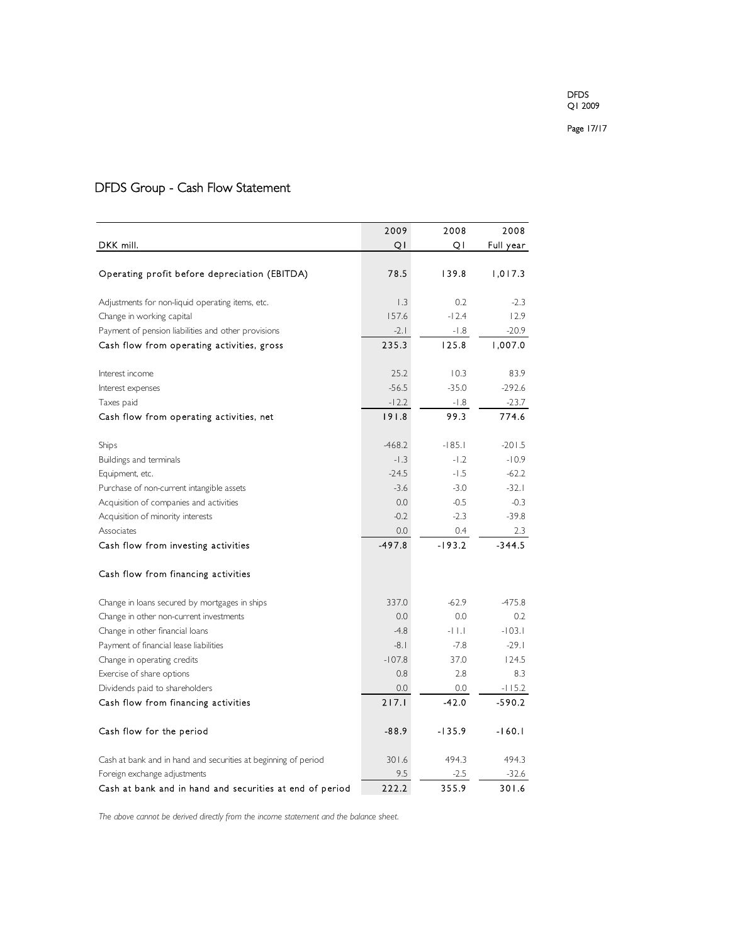|                                                                | 2009     | 2008     | 2008      |
|----------------------------------------------------------------|----------|----------|-----------|
| DKK mill.                                                      | QI       | Q١       | Full year |
|                                                                |          |          |           |
| Operating profit before depreciation (EBITDA)                  | 78.5     | 139.8    | 1,017.3   |
| Adjustments for non-liquid operating items, etc.               | 1.3      | 0.2      | $-2.3$    |
| Change in working capital                                      | 157.6    | $-12.4$  | 12.9      |
| Payment of pension liabilities and other provisions            | $-2.1$   | $-1.8$   | $-20.9$   |
| Cash flow from operating activities, gross                     | 235.3    | 125.8    | 1,007.0   |
| Interest income                                                | 25.2     | 10.3     | 83.9      |
| Interest expenses                                              | $-56.5$  | $-35.0$  | $-292.6$  |
| Taxes paid                                                     | $-12.2$  | -1.8     | $-23.7$   |
| Cash flow from operating activities, net                       | 191.8    | 99.3     | 774.6     |
| Ships                                                          | $-468.2$ | $-185.1$ | $-201.5$  |
| Buildings and terminals                                        | $-1.3$   | $-1.2$   | $-10.9$   |
| Equipment, etc.                                                | $-24.5$  | $-1.5$   | $-62.2$   |
| Purchase of non-current intangible assets                      | $-3.6$   | $-3.0$   | $-32.1$   |
| Acquisition of companies and activities                        | 0.0      | $-0.5$   | $-0.3$    |
| Acquisition of minority interests                              | $-0.2$   | $-2.3$   | $-39.8$   |
| Associates                                                     | 0.0      | 0.4      | 2.3       |
| Cash flow from investing activities                            | $-497.8$ | $-193.2$ | $-344.5$  |
| Cash flow from financing activities                            |          |          |           |
| Change in loans secured by mortgages in ships                  | 337.0    | $-62.9$  | $-475.8$  |
| Change in other non-current investments                        | 0.0      | 0.0      | 0.2       |
| Change in other financial loans                                | $-4.8$   | $-11.1$  | $-103.1$  |
| Payment of financial lease liabilities                         | $-8.1$   | $-7.8$   | $-29.1$   |
| Change in operating credits                                    | $-107.8$ | 37.0     | 124.5     |
| Exercise of share options                                      | 0.8      | 2.8      | 8.3       |
| Dividends paid to shareholders                                 | 0.0      | 0.0      | $-115.2$  |
| Cash flow from financing activities                            | 217.1    | $-42.0$  | $-590.2$  |
| Cash flow for the period                                       | $-88.9$  | $-135.9$ | $-160.1$  |
| Cash at bank and in hand and securities at beginning of period | 301.6    | 494.3    | 494.3     |
| Foreign exchange adjustments                                   | 9.5      | $-2.5$   | $-32.6$   |
| Cash at bank and in hand and securities at end of period       | 222.2    | 355.9    | 301.6     |

# DFDS Group - Cash Flow Statement

*The above cannot be derived directly from the income statement and the balance sheet.*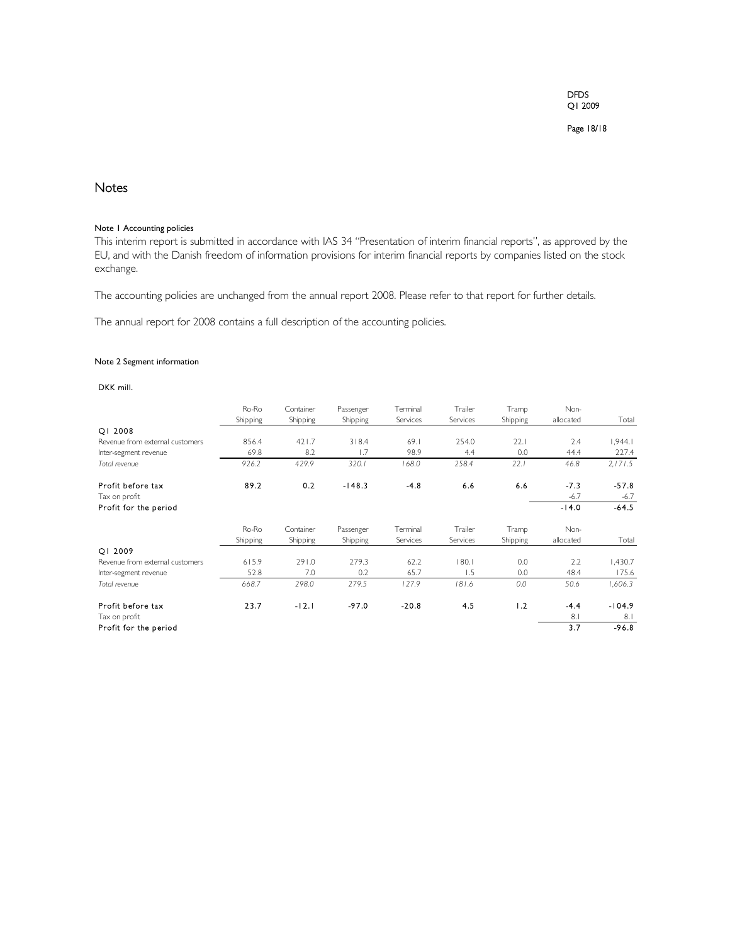Page 18/18

# **Notes**

## Note 1 Accounting policies

This interim report is submitted in accordance with IAS 34 "Presentation of interim financial reports", as approved by the EU, and with the Danish freedom of information provisions for interim financial reports by companies listed on the stock exchange.

The accounting policies are unchanged from the annual report 2008. Please refer to that report for further details.

The annual report for 2008 contains a full description of the accounting policies.

### Note 2 Segment information

## DKK mill.

|                                 | Ro-Ro    | Container | Passenger | Terminal | Trailer  | Tramp    | Non-      |          |
|---------------------------------|----------|-----------|-----------|----------|----------|----------|-----------|----------|
|                                 | Shipping | Shipping  | Shipping  | Services | Services | Shipping | allocated | Total    |
| OI 2008                         |          |           |           |          |          |          |           |          |
| Revenue from external customers | 856.4    | 421.7     | 318.4     | 69.1     | 254.0    | 22.1     | 2.4       | 1,944.1  |
| Inter-segment revenue           | 69.8     | 8.2       | 1.7       | 98.9     | 4.4      | 0.0      | 44.4      | 227.4    |
| Total revenue                   | 926.2    | 429.9     | 320.1     | 168.0    | 258.4    | 22.1     | 46.8      | 2,171.5  |
| Profit before tax               | 89.2     | 0.2       | $-148.3$  | $-4.8$   | 6.6      | 6.6      | $-7.3$    | $-57.8$  |
| Tax on profit                   |          |           |           |          |          |          | $-6.7$    | $-6.7$   |
| Profit for the period           |          |           |           |          |          |          | $-14.0$   | $-64.5$  |
|                                 | Ro-Ro    | Container | Passenger | Terminal | Trailer  | Tramp    | Non-      |          |
|                                 | Shipping | Shipping  | Shipping  | Services | Services | Shipping | allocated | Total    |
| OI 2009                         |          |           |           |          |          |          |           |          |
| Revenue from external customers | 615.9    | 291.0     | 279.3     | 62.2     | 180.1    | 0.0      | 2.2       | 1,430.7  |
| Inter-segment revenue           | 52.8     | 7.0       | 0.2       | 65.7     | 1.5      | 0.0      | 48.4      | 175.6    |
| Total revenue                   | 668.7    | 298.0     | 279.5     | 127.9    | 181.6    | 0.0      | 50.6      | 1,606.3  |
| Profit before tax               | 23.7     | $-12.1$   | $-97.0$   | $-20.8$  | 4.5      | 1.2      | $-4.4$    | $-104.9$ |
| Tax on profit                   |          |           |           |          |          |          | 8.1       | 8.1      |
| Profit for the period           |          |           |           |          |          |          | 3.7       | $-96.8$  |